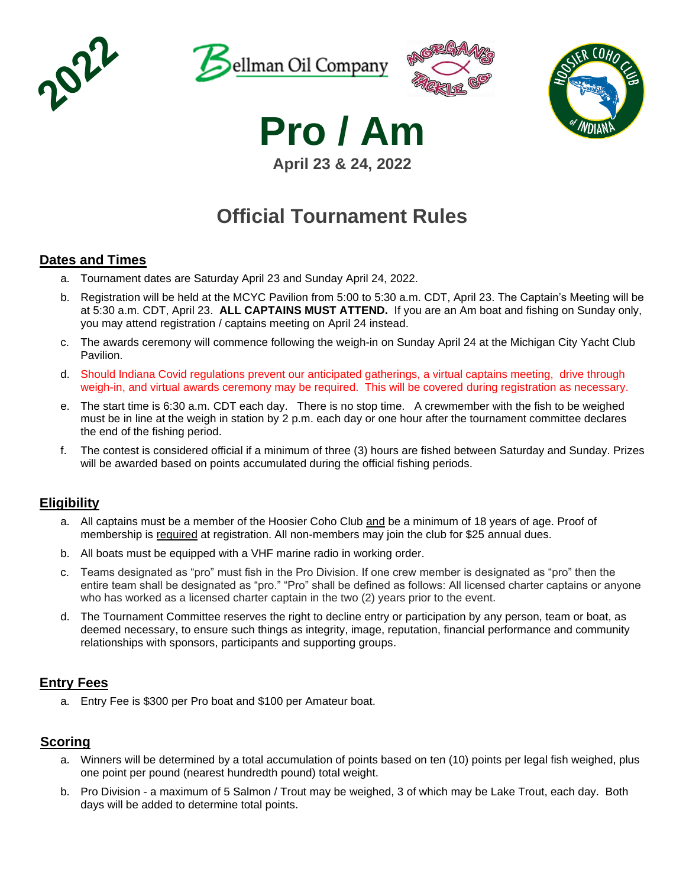







**April 23 & 24, 2022 Pro / Am**

# **Official Tournament Rules**

## **Dates and Times**

- a. Tournament dates are Saturday April 23 and Sunday April 24, 2022.
- b. Registration will be held at the MCYC Pavilion from 5:00 to 5:30 a.m. CDT, April 23. The Captain's Meeting will be at 5:30 a.m. CDT, April 23. **ALL CAPTAINS MUST ATTEND.** If you are an Am boat and fishing on Sunday only, you may attend registration / captains meeting on April 24 instead.
- c. The awards ceremony will commence following the weigh-in on Sunday April 24 at the Michigan City Yacht Club Pavilion.
- d. Should Indiana Covid regulations prevent our anticipated gatherings, a virtual captains meeting, drive through weigh-in, and virtual awards ceremony may be required. This will be covered during registration as necessary.
- e. The start time is 6:30 a.m. CDT each day. There is no stop time. A crewmember with the fish to be weighed must be in line at the weigh in station by 2 p.m. each day or one hour after the tournament committee declares the end of the fishing period.
- f. The contest is considered official if a minimum of three (3) hours are fished between Saturday and Sunday. Prizes will be awarded based on points accumulated during the official fishing periods.

## **Eligibility**

- a. All captains must be a member of the Hoosier Coho Club and be a minimum of 18 years of age. Proof of membership is required at registration. All non-members may join the club for \$25 annual dues.
- b. All boats must be equipped with a VHF marine radio in working order.
- c. Teams designated as "pro" must fish in the Pro Division. If one crew member is designated as "pro" then the entire team shall be designated as "pro." "Pro" shall be defined as follows: All licensed charter captains or anyone who has worked as a licensed charter captain in the two (2) years prior to the event.
- d. The Tournament Committee reserves the right to decline entry or participation by any person, team or boat, as deemed necessary, to ensure such things as integrity, image, reputation, financial performance and community relationships with sponsors, participants and supporting groups.

## **Entry Fees**

a. Entry Fee is \$300 per Pro boat and \$100 per Amateur boat.

## **Scoring**

- a. Winners will be determined by a total accumulation of points based on ten (10) points per legal fish weighed, plus one point per pound (nearest hundredth pound) total weight.
- b. Pro Division a maximum of 5 Salmon / Trout may be weighed, 3 of which may be Lake Trout, each day. Both days will be added to determine total points.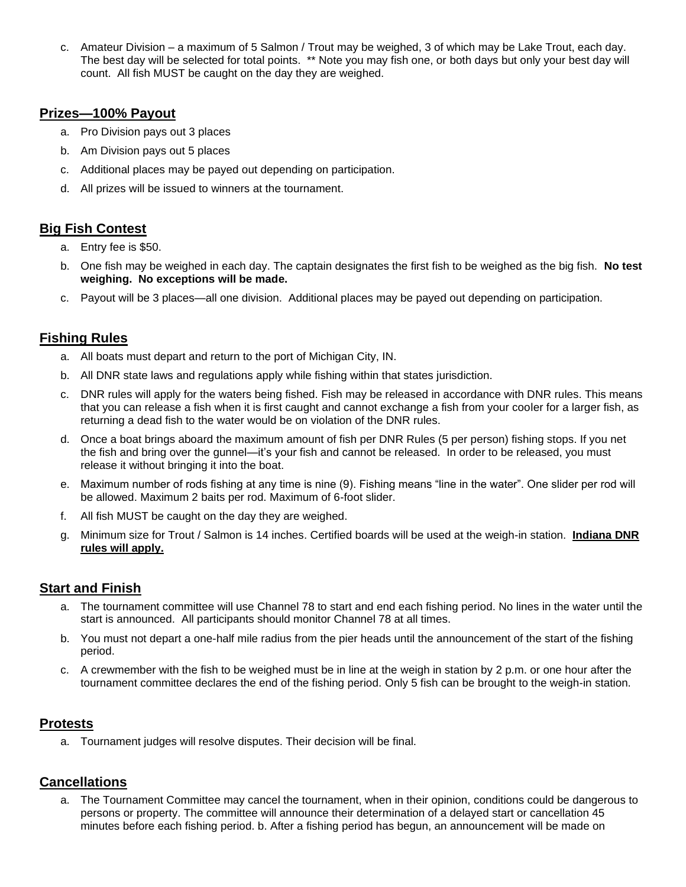c. Amateur Division – a maximum of 5 Salmon / Trout may be weighed, 3 of which may be Lake Trout, each day. The best day will be selected for total points. \*\* Note you may fish one, or both days but only your best day will count. All fish MUST be caught on the day they are weighed.

#### **Prizes—100% Payout**

- a. Pro Division pays out 3 places
- b. Am Division pays out 5 places
- c. Additional places may be payed out depending on participation.
- d. All prizes will be issued to winners at the tournament.

## **Big Fish Contest**

- a. Entry fee is \$50.
- b. One fish may be weighed in each day. The captain designates the first fish to be weighed as the big fish. **No test weighing. No exceptions will be made.**
- c. Payout will be 3 places—all one division. Additional places may be payed out depending on participation.

## **Fishing Rules**

- a. All boats must depart and return to the port of Michigan City, IN.
- b. All DNR state laws and regulations apply while fishing within that states jurisdiction.
- c. DNR rules will apply for the waters being fished. Fish may be released in accordance with DNR rules. This means that you can release a fish when it is first caught and cannot exchange a fish from your cooler for a larger fish, as returning a dead fish to the water would be on violation of the DNR rules.
- d. Once a boat brings aboard the maximum amount of fish per DNR Rules (5 per person) fishing stops. If you net the fish and bring over the gunnel—it's your fish and cannot be released. In order to be released, you must release it without bringing it into the boat.
- e. Maximum number of rods fishing at any time is nine (9). Fishing means "line in the water". One slider per rod will be allowed. Maximum 2 baits per rod. Maximum of 6-foot slider.
- f. All fish MUST be caught on the day they are weighed.
- g. Minimum size for Trout / Salmon is 14 inches. Certified boards will be used at the weigh-in station. **Indiana DNR rules will apply.**

## **Start and Finish**

- a. The tournament committee will use Channel 78 to start and end each fishing period. No lines in the water until the start is announced. All participants should monitor Channel 78 at all times.
- b. You must not depart a one-half mile radius from the pier heads until the announcement of the start of the fishing period.
- c. A crewmember with the fish to be weighed must be in line at the weigh in station by 2 p.m. or one hour after the tournament committee declares the end of the fishing period. Only 5 fish can be brought to the weigh-in station.

## **Protests**

a. Tournament judges will resolve disputes. Their decision will be final.

## **Cancellations**

a. The Tournament Committee may cancel the tournament, when in their opinion, conditions could be dangerous to persons or property. The committee will announce their determination of a delayed start or cancellation 45 minutes before each fishing period. b. After a fishing period has begun, an announcement will be made on